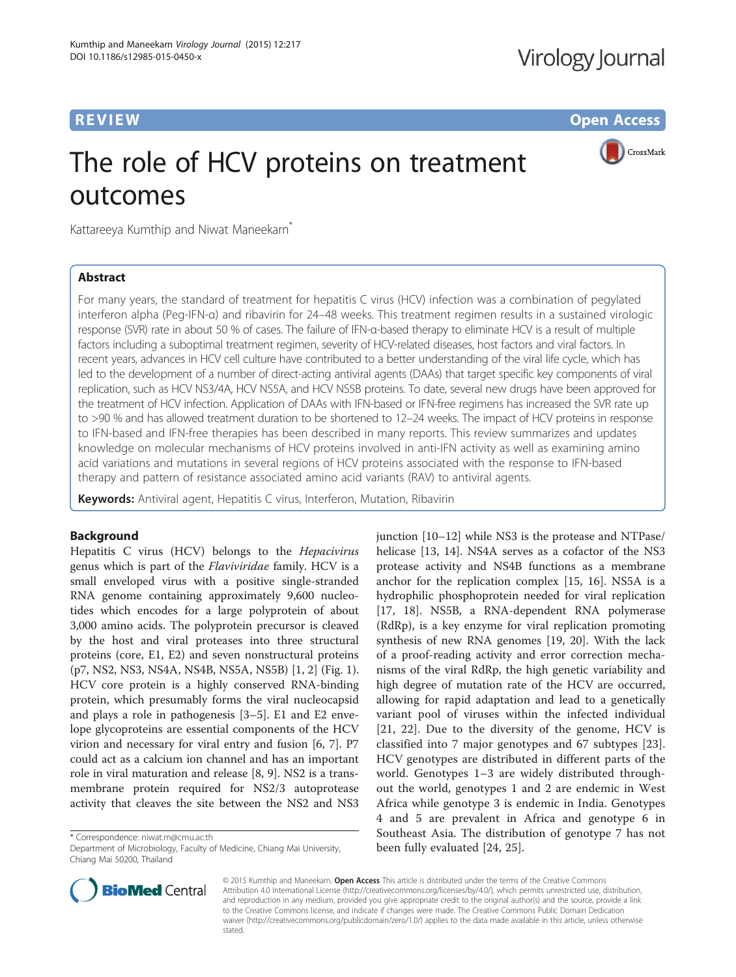**REVIEW CONSTRUCTION CONSTRUCTION CONSTRUCTS** 

CrossMark

# The role of HCV proteins on treatment outcomes

Kattareeya Kumthip and Niwat Maneekarn<sup>\*</sup>

# Abstract

For many years, the standard of treatment for hepatitis C virus (HCV) infection was a combination of pegylated interferon alpha (Peg-IFN-α) and ribavirin for 24–48 weeks. This treatment regimen results in a sustained virologic response (SVR) rate in about 50 % of cases. The failure of IFN-α-based therapy to eliminate HCV is a result of multiple factors including a suboptimal treatment regimen, severity of HCV-related diseases, host factors and viral factors. In recent years, advances in HCV cell culture have contributed to a better understanding of the viral life cycle, which has led to the development of a number of direct-acting antiviral agents (DAAs) that target specific key components of viral replication, such as HCV NS3/4A, HCV NS5A, and HCV NS5B proteins. To date, several new drugs have been approved for the treatment of HCV infection. Application of DAAs with IFN-based or IFN-free regimens has increased the SVR rate up to >90 % and has allowed treatment duration to be shortened to 12-24 weeks. The impact of HCV proteins in response to IFN-based and IFN-free therapies has been described in many reports. This review summarizes and updates knowledge on molecular mechanisms of HCV proteins involved in anti-IFN activity as well as examining amino acid variations and mutations in several regions of HCV proteins associated with the response to IFN-based therapy and pattern of resistance associated amino acid variants (RAV) to antiviral agents.

Keywords: Antiviral agent, Hepatitis C virus, Interferon, Mutation, Ribavirin

# Background

Hepatitis C virus (HCV) belongs to the Hepacivirus genus which is part of the Flaviviridae family. HCV is a small enveloped virus with a positive single-stranded RNA genome containing approximately 9,600 nucleotides which encodes for a large polyprotein of about 3,000 amino acids. The polyprotein precursor is cleaved by the host and viral proteases into three structural proteins (core, E1, E2) and seven nonstructural proteins (p7, NS2, NS3, NS4A, NS4B, NS5A, NS5B) [\[1](#page-7-0), [2](#page-7-0)] (Fig. [1](#page-1-0)). HCV core protein is a highly conserved RNA-binding protein, which presumably forms the viral nucleocapsid and plays a role in pathogenesis [\[3](#page-7-0)–[5\]](#page-7-0). E1 and E2 envelope glycoproteins are essential components of the HCV virion and necessary for viral entry and fusion [[6, 7](#page-7-0)]. P7 could act as a calcium ion channel and has an important role in viral maturation and release [[8, 9](#page-8-0)]. NS2 is a transmembrane protein required for NS2/3 autoprotease activity that cleaves the site between the NS2 and NS3

\* Correspondence: [niwat.m@cmu.ac.th](mailto:niwat.m@cmu.ac.th)

junction [[10](#page-8-0)–[12](#page-8-0)] while NS3 is the protease and NTPase/ helicase [[13](#page-8-0), [14](#page-8-0)]. NS4A serves as a cofactor of the NS3 protease activity and NS4B functions as a membrane anchor for the replication complex [[15](#page-8-0), [16\]](#page-8-0). NS5A is a hydrophilic phosphoprotein needed for viral replication [[17, 18](#page-8-0)]. NS5B, a RNA-dependent RNA polymerase (RdRp), is a key enzyme for viral replication promoting synthesis of new RNA genomes [\[19](#page-8-0), [20](#page-8-0)]. With the lack of a proof-reading activity and error correction mechanisms of the viral RdRp, the high genetic variability and high degree of mutation rate of the HCV are occurred, allowing for rapid adaptation and lead to a genetically variant pool of viruses within the infected individual [[21, 22\]](#page-8-0). Due to the diversity of the genome, HCV is classified into 7 major genotypes and 67 subtypes [\[23](#page-8-0)]. HCV genotypes are distributed in different parts of the world. Genotypes 1–3 are widely distributed throughout the world, genotypes 1 and 2 are endemic in West Africa while genotype 3 is endemic in India. Genotypes 4 and 5 are prevalent in Africa and genotype 6 in Southeast Asia. The distribution of genotype 7 has not been fully evaluated [[24, 25](#page-8-0)].



© 2015 Kumthip and Maneekarn. Open Access This article is distributed under the terms of the Creative Commons Attribution 4.0 International License [\(http://creativecommons.org/licenses/by/4.0/](http://creativecommons.org/licenses/by/4.0/)), which permits unrestricted use, distribution, and reproduction in any medium, provided you give appropriate credit to the original author(s) and the source, provide a link to the Creative Commons license, and indicate if changes were made. The Creative Commons Public Domain Dedication waiver [\(http://creativecommons.org/publicdomain/zero/1.0/\)](http://creativecommons.org/publicdomain/zero/1.0/) applies to the data made available in this article, unless otherwise stated

Department of Microbiology, Faculty of Medicine, Chiang Mai University, Chiang Mai 50200, Thailand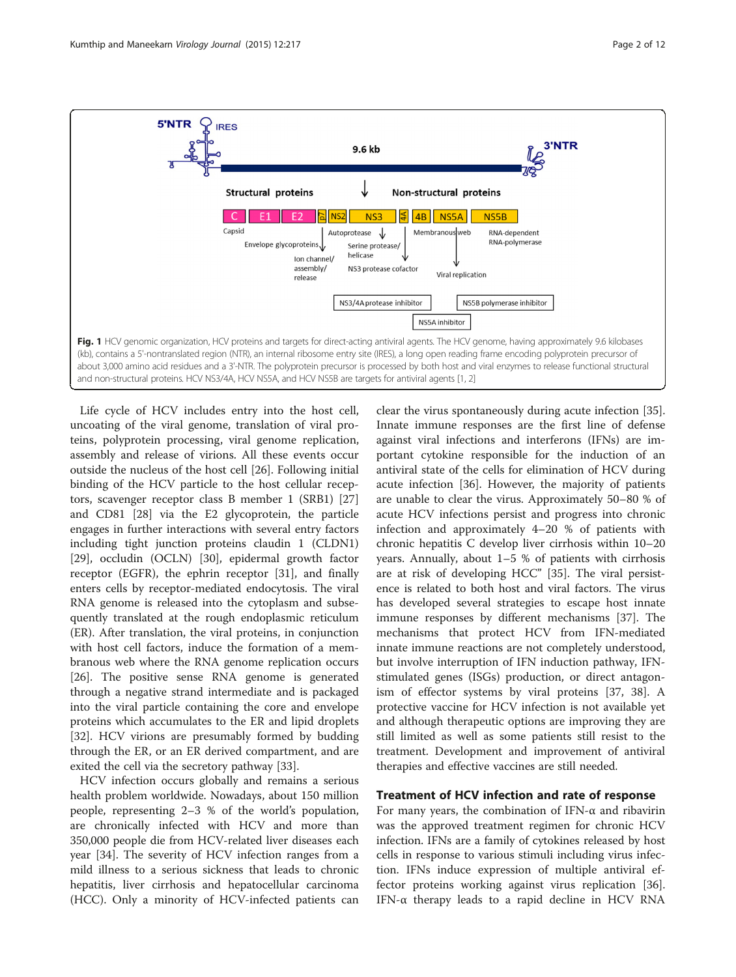<span id="page-1-0"></span>

Life cycle of HCV includes entry into the host cell, uncoating of the viral genome, translation of viral proteins, polyprotein processing, viral genome replication, assembly and release of virions. All these events occur outside the nucleus of the host cell [\[26](#page-8-0)]. Following initial binding of the HCV particle to the host cellular receptors, scavenger receptor class B member 1 (SRB1) [[27](#page-8-0)] and CD81 [[28](#page-8-0)] via the E2 glycoprotein, the particle engages in further interactions with several entry factors including tight junction proteins claudin 1 (CLDN1) [[29\]](#page-8-0), occludin (OCLN) [[30](#page-8-0)], epidermal growth factor receptor (EGFR), the ephrin receptor [\[31](#page-8-0)], and finally enters cells by receptor-mediated endocytosis. The viral RNA genome is released into the cytoplasm and subsequently translated at the rough endoplasmic reticulum (ER). After translation, the viral proteins, in conjunction with host cell factors, induce the formation of a membranous web where the RNA genome replication occurs [[26\]](#page-8-0). The positive sense RNA genome is generated through a negative strand intermediate and is packaged into the viral particle containing the core and envelope proteins which accumulates to the ER and lipid droplets [[32\]](#page-8-0). HCV virions are presumably formed by budding through the ER, or an ER derived compartment, and are exited the cell via the secretory pathway [\[33\]](#page-8-0).

HCV infection occurs globally and remains a serious health problem worldwide. Nowadays, about 150 million people, representing 2–3 % of the world's population, are chronically infected with HCV and more than 350,000 people die from HCV-related liver diseases each year [[34\]](#page-8-0). The severity of HCV infection ranges from a mild illness to a serious sickness that leads to chronic hepatitis, liver cirrhosis and hepatocellular carcinoma (HCC). Only a minority of HCV-infected patients can

clear the virus spontaneously during acute infection [\[35](#page-8-0)]. Innate immune responses are the first line of defense against viral infections and interferons (IFNs) are important cytokine responsible for the induction of an antiviral state of the cells for elimination of HCV during acute infection [[36\]](#page-8-0). However, the majority of patients are unable to clear the virus. Approximately 50–80 % of acute HCV infections persist and progress into chronic infection and approximately 4–20 % of patients with chronic hepatitis C develop liver cirrhosis within 10–20 years. Annually, about 1–5 % of patients with cirrhosis are at risk of developing HCC" [\[35\]](#page-8-0). The viral persistence is related to both host and viral factors. The virus has developed several strategies to escape host innate immune responses by different mechanisms [\[37\]](#page-8-0). The mechanisms that protect HCV from IFN-mediated innate immune reactions are not completely understood, but involve interruption of IFN induction pathway, IFNstimulated genes (ISGs) production, or direct antagonism of effector systems by viral proteins [\[37, 38\]](#page-8-0). A protective vaccine for HCV infection is not available yet and although therapeutic options are improving they are still limited as well as some patients still resist to the treatment. Development and improvement of antiviral therapies and effective vaccines are still needed.

# Treatment of HCV infection and rate of response

For many years, the combination of IFN- $\alpha$  and ribavirin was the approved treatment regimen for chronic HCV infection. IFNs are a family of cytokines released by host cells in response to various stimuli including virus infection. IFNs induce expression of multiple antiviral effector proteins working against virus replication [\[36](#page-8-0)]. IFN-α therapy leads to a rapid decline in HCV RNA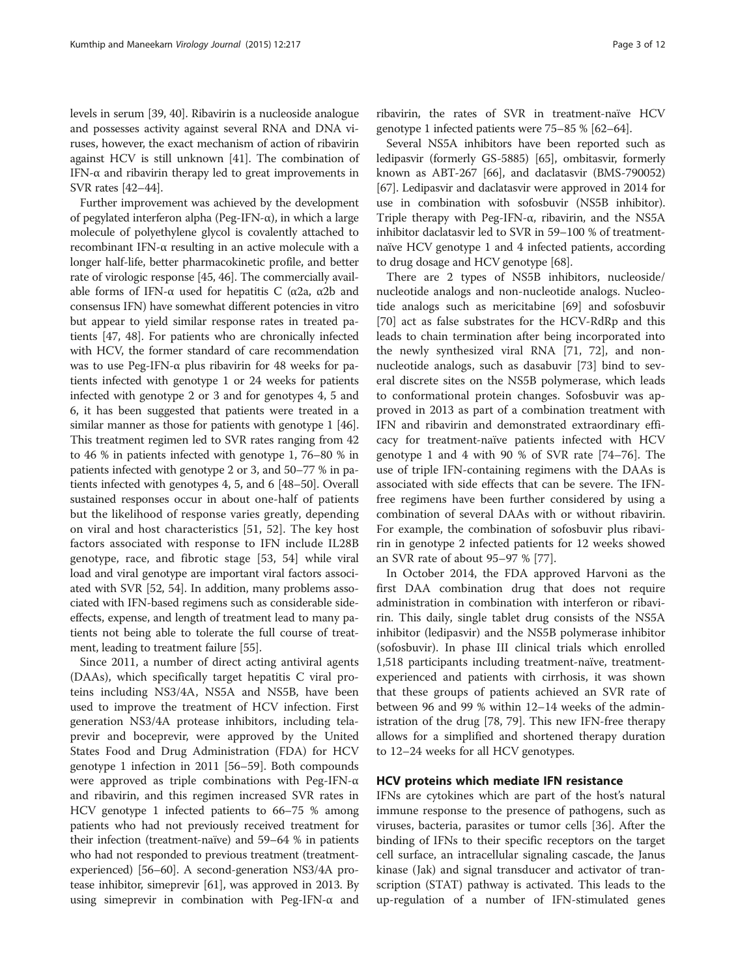levels in serum [[39](#page-8-0), [40\]](#page-8-0). Ribavirin is a nucleoside analogue and possesses activity against several RNA and DNA viruses, however, the exact mechanism of action of ribavirin against HCV is still unknown [\[41](#page-8-0)]. The combination of IFN-α and ribavirin therapy led to great improvements in SVR rates [[42](#page-8-0)–[44\]](#page-8-0).

Further improvement was achieved by the development of pegylated interferon alpha (Peg-IFN-α), in which a large molecule of polyethylene glycol is covalently attached to recombinant IFN-α resulting in an active molecule with a longer half-life, better pharmacokinetic profile, and better rate of virologic response [[45](#page-8-0), [46\]](#page-8-0). The commercially available forms of IFN-α used for hepatitis C (α2a, α2b and consensus IFN) have somewhat different potencies in vitro but appear to yield similar response rates in treated patients [[47](#page-8-0), [48](#page-8-0)]. For patients who are chronically infected with HCV, the former standard of care recommendation was to use Peg-IFN-α plus ribavirin for 48 weeks for patients infected with genotype 1 or 24 weeks for patients infected with genotype 2 or 3 and for genotypes 4, 5 and 6, it has been suggested that patients were treated in a similar manner as those for patients with genotype 1 [[46](#page-8-0)]. This treatment regimen led to SVR rates ranging from 42 to 46 % in patients infected with genotype 1, 76–80 % in patients infected with genotype 2 or 3, and 50–77 % in patients infected with genotypes 4, 5, and 6 [\[48](#page-8-0)–[50](#page-8-0)]. Overall sustained responses occur in about one-half of patients but the likelihood of response varies greatly, depending on viral and host characteristics [[51, 52\]](#page-8-0). The key host factors associated with response to IFN include IL28B genotype, race, and fibrotic stage [\[53](#page-8-0), [54\]](#page-8-0) while viral load and viral genotype are important viral factors associated with SVR [\[52](#page-8-0), [54\]](#page-8-0). In addition, many problems associated with IFN-based regimens such as considerable sideeffects, expense, and length of treatment lead to many patients not being able to tolerate the full course of treatment, leading to treatment failure [\[55\]](#page-8-0).

Since 2011, a number of direct acting antiviral agents (DAAs), which specifically target hepatitis C viral proteins including NS3/4A, NS5A and NS5B, have been used to improve the treatment of HCV infection. First generation NS3/4A protease inhibitors, including telaprevir and boceprevir, were approved by the United States Food and Drug Administration (FDA) for HCV genotype 1 infection in 2011 [[56](#page-8-0)–[59](#page-9-0)]. Both compounds were approved as triple combinations with Peg-IFN-α and ribavirin, and this regimen increased SVR rates in HCV genotype 1 infected patients to 66–75 % among patients who had not previously received treatment for their infection (treatment-naïve) and 59–64 % in patients who had not responded to previous treatment (treatmentexperienced) [[56](#page-8-0)–[60\]](#page-9-0). A second-generation NS3/4A protease inhibitor, simeprevir [[61](#page-9-0)], was approved in 2013. By using simeprevir in combination with Peg-IFN-α and ribavirin, the rates of SVR in treatment-naïve HCV genotype 1 infected patients were 75–85 % [\[62](#page-9-0)–[64](#page-9-0)].

Several NS5A inhibitors have been reported such as ledipasvir (formerly GS-5885) [\[65\]](#page-9-0), ombitasvir, formerly known as ABT-267 [\[66\]](#page-9-0), and daclatasvir (BMS-790052) [[67](#page-9-0)]. Ledipasvir and daclatasvir were approved in 2014 for use in combination with sofosbuvir (NS5B inhibitor). Triple therapy with Peg-IFN-α, ribavirin, and the NS5A inhibitor daclatasvir led to SVR in 59–100 % of treatmentnaïve HCV genotype 1 and 4 infected patients, according to drug dosage and HCV genotype [[68](#page-9-0)].

There are 2 types of NS5B inhibitors, nucleoside/ nucleotide analogs and non-nucleotide analogs. Nucleotide analogs such as mericitabine [\[69\]](#page-9-0) and sofosbuvir [[70\]](#page-9-0) act as false substrates for the HCV-RdRp and this leads to chain termination after being incorporated into the newly synthesized viral RNA [\[71, 72\]](#page-9-0), and nonnucleotide analogs, such as dasabuvir [\[73\]](#page-9-0) bind to several discrete sites on the NS5B polymerase, which leads to conformational protein changes. Sofosbuvir was approved in 2013 as part of a combination treatment with IFN and ribavirin and demonstrated extraordinary efficacy for treatment-naïve patients infected with HCV genotype 1 and 4 with 90 % of SVR rate [\[74](#page-9-0)–[76\]](#page-9-0). The use of triple IFN-containing regimens with the DAAs is associated with side effects that can be severe. The IFNfree regimens have been further considered by using a combination of several DAAs with or without ribavirin. For example, the combination of sofosbuvir plus ribavirin in genotype 2 infected patients for 12 weeks showed an SVR rate of about 95–97 % [\[77](#page-9-0)].

In October 2014, the FDA approved Harvoni as the first DAA combination drug that does not require administration in combination with interferon or ribavirin. This daily, single tablet drug consists of the NS5A inhibitor (ledipasvir) and the NS5B polymerase inhibitor (sofosbuvir). In phase III clinical trials which enrolled 1,518 participants including treatment-naïve, treatmentexperienced and patients with cirrhosis, it was shown that these groups of patients achieved an SVR rate of between 96 and 99 % within 12–14 weeks of the administration of the drug [[78, 79\]](#page-9-0). This new IFN-free therapy allows for a simplified and shortened therapy duration to 12–24 weeks for all HCV genotypes.

### HCV proteins which mediate IFN resistance

IFNs are cytokines which are part of the host's natural immune response to the presence of pathogens, such as viruses, bacteria, parasites or tumor cells [\[36\]](#page-8-0). After the binding of IFNs to their specific receptors on the target cell surface, an intracellular signaling cascade, the Janus kinase (Jak) and signal transducer and activator of transcription (STAT) pathway is activated. This leads to the up-regulation of a number of IFN-stimulated genes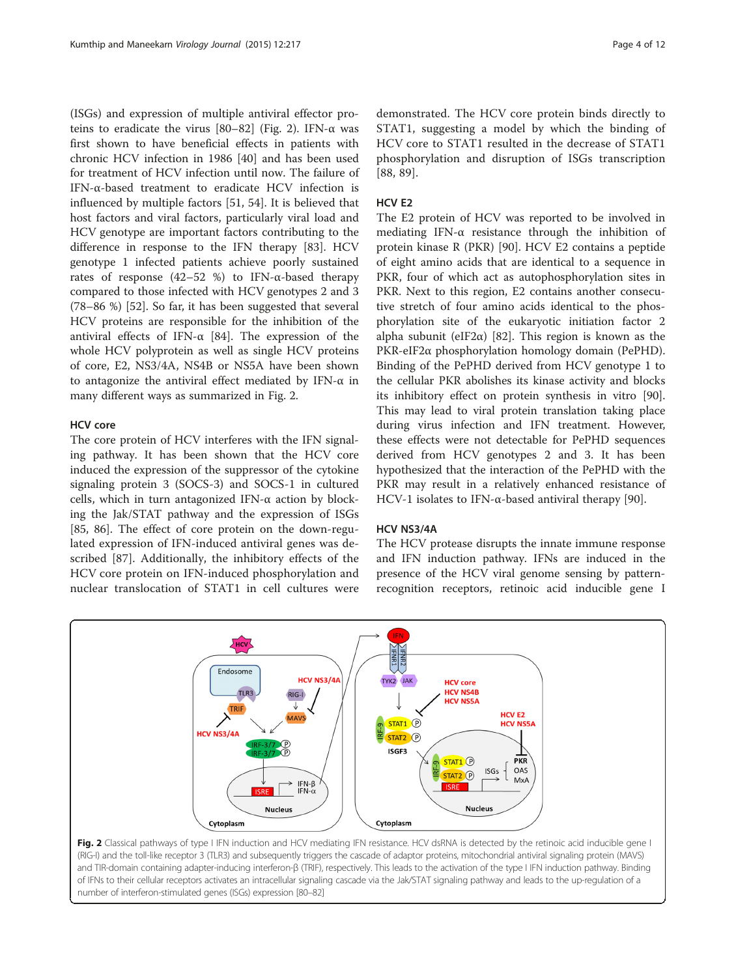(ISGs) and expression of multiple antiviral effector pro-teins to eradicate the virus [\[80](#page-9-0)–[82](#page-9-0)] (Fig. 2). IFN-α was first shown to have beneficial effects in patients with chronic HCV infection in 1986 [\[40\]](#page-8-0) and has been used for treatment of HCV infection until now. The failure of IFN-α-based treatment to eradicate HCV infection is influenced by multiple factors [[51, 54\]](#page-8-0). It is believed that host factors and viral factors, particularly viral load and HCV genotype are important factors contributing to the difference in response to the IFN therapy [[83\]](#page-9-0). HCV genotype 1 infected patients achieve poorly sustained rates of response (42–52 %) to IFN-α-based therapy compared to those infected with HCV genotypes 2 and 3 (78–86 %) [\[52\]](#page-8-0). So far, it has been suggested that several HCV proteins are responsible for the inhibition of the antiviral effects of IFN- $\alpha$  [[84](#page-9-0)]. The expression of the whole HCV polyprotein as well as single HCV proteins of core, E2, NS3/4A, NS4B or NS5A have been shown to antagonize the antiviral effect mediated by IFN-α in many different ways as summarized in Fig. 2.

# HCV core

The core protein of HCV interferes with the IFN signaling pathway. It has been shown that the HCV core induced the expression of the suppressor of the cytokine signaling protein 3 (SOCS-3) and SOCS-1 in cultured cells, which in turn antagonized IFN-α action by blocking the Jak/STAT pathway and the expression of ISGs [[85, 86\]](#page-9-0). The effect of core protein on the down-regulated expression of IFN-induced antiviral genes was described [[87\]](#page-9-0). Additionally, the inhibitory effects of the HCV core protein on IFN-induced phosphorylation and nuclear translocation of STAT1 in cell cultures were

demonstrated. The HCV core protein binds directly to STAT1, suggesting a model by which the binding of HCV core to STAT1 resulted in the decrease of STAT1 phosphorylation and disruption of ISGs transcription [[88, 89](#page-9-0)].

# HCV E2

The E2 protein of HCV was reported to be involved in mediating IFN-α resistance through the inhibition of protein kinase R (PKR) [[90](#page-9-0)]. HCV E2 contains a peptide of eight amino acids that are identical to a sequence in PKR, four of which act as autophosphorylation sites in PKR. Next to this region, E2 contains another consecutive stretch of four amino acids identical to the phosphorylation site of the eukaryotic initiation factor 2 alpha subunit (eIF2 $\alpha$ ) [\[82](#page-9-0)]. This region is known as the PKR-eIF2α phosphorylation homology domain (PePHD). Binding of the PePHD derived from HCV genotype 1 to the cellular PKR abolishes its kinase activity and blocks its inhibitory effect on protein synthesis in vitro [\[90](#page-9-0)]. This may lead to viral protein translation taking place during virus infection and IFN treatment. However, these effects were not detectable for PePHD sequences derived from HCV genotypes 2 and 3. It has been hypothesized that the interaction of the PePHD with the PKR may result in a relatively enhanced resistance of HCV-1 isolates to IFN-α-based antiviral therapy [\[90](#page-9-0)].

### HCV NS3/4A

The HCV protease disrupts the innate immune response and IFN induction pathway. IFNs are induced in the presence of the HCV viral genome sensing by patternrecognition receptors, retinoic acid inducible gene I



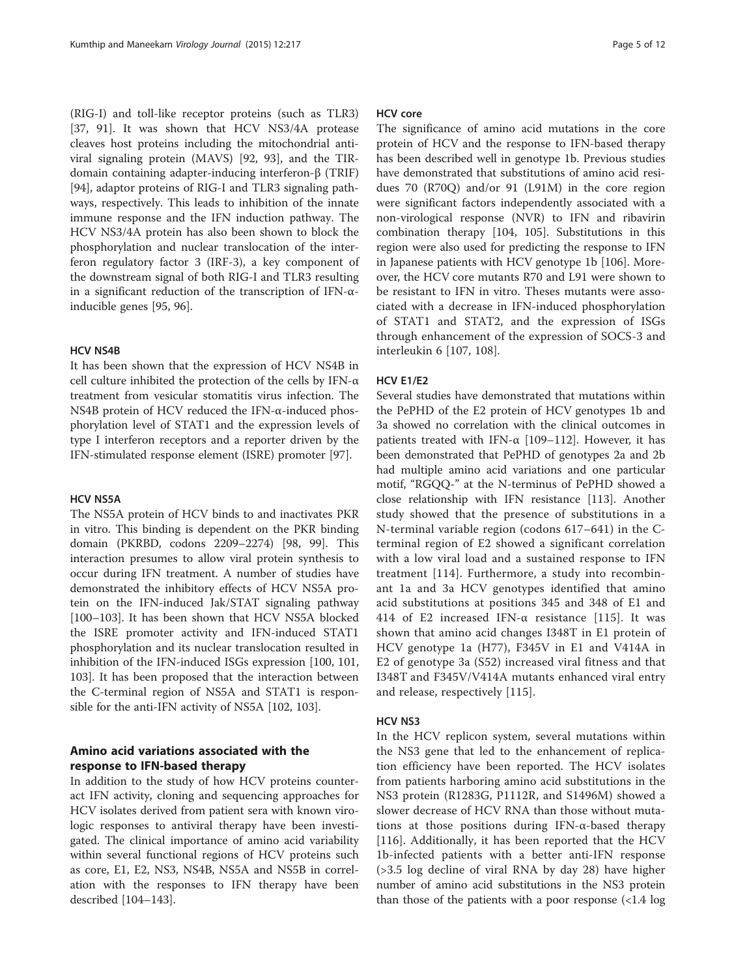(RIG-I) and toll-like receptor proteins (such as TLR3) [[37,](#page-8-0) [91](#page-9-0)]. It was shown that HCV NS3/4A protease cleaves host proteins including the mitochondrial antiviral signaling protein (MAVS) [[92, 93\]](#page-9-0), and the TIRdomain containing adapter-inducing interferon-β (TRIF) [[94\]](#page-9-0), adaptor proteins of RIG-I and TLR3 signaling pathways, respectively. This leads to inhibition of the innate immune response and the IFN induction pathway. The HCV NS3/4A protein has also been shown to block the phosphorylation and nuclear translocation of the interferon regulatory factor 3 (IRF-3), a key component of the downstream signal of both RIG-I and TLR3 resulting in a significant reduction of the transcription of IFN-αinducible genes [[95, 96\]](#page-9-0).

#### HCV NS4B

It has been shown that the expression of HCV NS4B in cell culture inhibited the protection of the cells by IFN-α treatment from vesicular stomatitis virus infection. The NS4B protein of HCV reduced the IFN-α-induced phosphorylation level of STAT1 and the expression levels of type I interferon receptors and a reporter driven by the IFN-stimulated response element (ISRE) promoter [[97\]](#page-9-0).

#### HCV NS5A

The NS5A protein of HCV binds to and inactivates PKR in vitro. This binding is dependent on the PKR binding domain (PKRBD, codons 2209–2274) [[98, 99](#page-9-0)]. This interaction presumes to allow viral protein synthesis to occur during IFN treatment. A number of studies have demonstrated the inhibitory effects of HCV NS5A protein on the IFN-induced Jak/STAT signaling pathway [[100](#page-9-0)–[103](#page-9-0)]. It has been shown that HCV NS5A blocked the ISRE promoter activity and IFN-induced STAT1 phosphorylation and its nuclear translocation resulted in inhibition of the IFN-induced ISGs expression [[100](#page-9-0), [101](#page-9-0), [103](#page-9-0)]. It has been proposed that the interaction between the C-terminal region of NS5A and STAT1 is responsible for the anti-IFN activity of NS5A [[102, 103](#page-9-0)].

# Amino acid variations associated with the response to IFN-based therapy

In addition to the study of how HCV proteins counteract IFN activity, cloning and sequencing approaches for HCV isolates derived from patient sera with known virologic responses to antiviral therapy have been investigated. The clinical importance of amino acid variability within several functional regions of HCV proteins such as core, E1, E2, NS3, NS4B, NS5A and NS5B in correlation with the responses to IFN therapy have been described [[104](#page-9-0)–[143\]](#page-11-0).

# HCV core

The significance of amino acid mutations in the core protein of HCV and the response to IFN-based therapy has been described well in genotype 1b. Previous studies have demonstrated that substitutions of amino acid residues 70 (R70Q) and/or 91 (L91M) in the core region were significant factors independently associated with a non-virological response (NVR) to IFN and ribavirin combination therapy [[104](#page-9-0), [105](#page-10-0)]. Substitutions in this region were also used for predicting the response to IFN in Japanese patients with HCV genotype 1b [[106](#page-10-0)]. Moreover, the HCV core mutants R70 and L91 were shown to be resistant to IFN in vitro. Theses mutants were associated with a decrease in IFN-induced phosphorylation of STAT1 and STAT2, and the expression of ISGs through enhancement of the expression of SOCS-3 and interleukin 6 [\[107](#page-10-0), [108](#page-10-0)].

#### HCV E1/E2

Several studies have demonstrated that mutations within the PePHD of the E2 protein of HCV genotypes 1b and 3a showed no correlation with the clinical outcomes in patients treated with IFN- $\alpha$  [[109](#page-10-0)–[112](#page-10-0)]. However, it has been demonstrated that PePHD of genotypes 2a and 2b had multiple amino acid variations and one particular motif, "RGQQ-" at the N-terminus of PePHD showed a close relationship with IFN resistance [[113](#page-10-0)]. Another study showed that the presence of substitutions in a N-terminal variable region (codons 617–641) in the Cterminal region of E2 showed a significant correlation with a low viral load and a sustained response to IFN treatment [\[114\]](#page-10-0). Furthermore, a study into recombinant 1a and 3a HCV genotypes identified that amino acid substitutions at positions 345 and 348 of E1 and 414 of E2 increased IFN-α resistance [[115](#page-10-0)]. It was shown that amino acid changes I348T in E1 protein of HCV genotype 1a (H77), F345V in E1 and V414A in E2 of genotype 3a (S52) increased viral fitness and that I348T and F345V/V414A mutants enhanced viral entry and release, respectively [[115\]](#page-10-0).

#### HCV NS3

In the HCV replicon system, several mutations within the NS3 gene that led to the enhancement of replication efficiency have been reported. The HCV isolates from patients harboring amino acid substitutions in the NS3 protein (R1283G, P1112R, and S1496M) showed a slower decrease of HCV RNA than those without mutations at those positions during IFN-α-based therapy [[116\]](#page-10-0). Additionally, it has been reported that the HCV 1b-infected patients with a better anti-IFN response (>3.5 log decline of viral RNA by day 28) have higher number of amino acid substitutions in the NS3 protein than those of the patients with a poor response (<1.4 log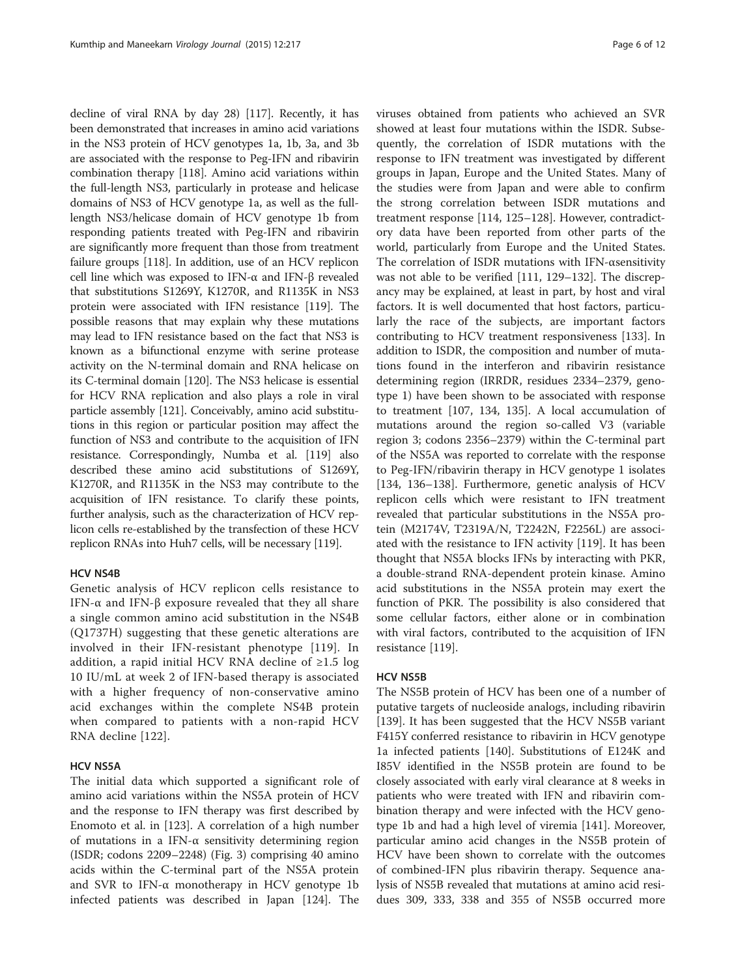decline of viral RNA by day 28) [[117](#page-10-0)]. Recently, it has been demonstrated that increases in amino acid variations in the NS3 protein of HCV genotypes 1a, 1b, 3a, and 3b are associated with the response to Peg-IFN and ribavirin combination therapy [[118](#page-10-0)]. Amino acid variations within the full-length NS3, particularly in protease and helicase domains of NS3 of HCV genotype 1a, as well as the fulllength NS3/helicase domain of HCV genotype 1b from responding patients treated with Peg-IFN and ribavirin are significantly more frequent than those from treatment failure groups [\[118\]](#page-10-0). In addition, use of an HCV replicon cell line which was exposed to IFN-α and IFN-β revealed that substitutions S1269Y, K1270R, and R1135K in NS3 protein were associated with IFN resistance [\[119](#page-10-0)]. The possible reasons that may explain why these mutations may lead to IFN resistance based on the fact that NS3 is known as a bifunctional enzyme with serine protease activity on the N-terminal domain and RNA helicase on its C-terminal domain [\[120](#page-10-0)]. The NS3 helicase is essential for HCV RNA replication and also plays a role in viral particle assembly [[121](#page-10-0)]. Conceivably, amino acid substitutions in this region or particular position may affect the function of NS3 and contribute to the acquisition of IFN resistance. Correspondingly, Numba et al. [\[119](#page-10-0)] also described these amino acid substitutions of S1269Y, K1270R, and R1135K in the NS3 may contribute to the acquisition of IFN resistance. To clarify these points, further analysis, such as the characterization of HCV replicon cells re-established by the transfection of these HCV replicon RNAs into Huh7 cells, will be necessary [\[119\]](#page-10-0).

#### HCV NS4B

Genetic analysis of HCV replicon cells resistance to IFN-α and IFN-β exposure revealed that they all share a single common amino acid substitution in the NS4B (Q1737H) suggesting that these genetic alterations are involved in their IFN-resistant phenotype [[119\]](#page-10-0). In addition, a rapid initial HCV RNA decline of ≥1.5 log 10 IU/mL at week 2 of IFN-based therapy is associated with a higher frequency of non-conservative amino acid exchanges within the complete NS4B protein when compared to patients with a non-rapid HCV RNA decline [[122](#page-10-0)].

# HCV NS5A

The initial data which supported a significant role of amino acid variations within the NS5A protein of HCV and the response to IFN therapy was first described by Enomoto et al. in [[123\]](#page-10-0). A correlation of a high number of mutations in a IFN-α sensitivity determining region (ISDR; codons 2209–2248) (Fig. [3](#page-6-0)) comprising 40 amino acids within the C-terminal part of the NS5A protein and SVR to IFN-α monotherapy in HCV genotype 1b infected patients was described in Japan [[124\]](#page-10-0). The viruses obtained from patients who achieved an SVR showed at least four mutations within the ISDR. Subsequently, the correlation of ISDR mutations with the response to IFN treatment was investigated by different groups in Japan, Europe and the United States. Many of the studies were from Japan and were able to confirm the strong correlation between ISDR mutations and treatment response [\[114](#page-10-0), [125](#page-10-0)–[128\]](#page-10-0). However, contradictory data have been reported from other parts of the world, particularly from Europe and the United States. The correlation of ISDR mutations with IFN-αsensitivity was not able to be verified [[111](#page-10-0), [129](#page-10-0)–[132](#page-10-0)]. The discrepancy may be explained, at least in part, by host and viral factors. It is well documented that host factors, particularly the race of the subjects, are important factors contributing to HCV treatment responsiveness [\[133\]](#page-10-0). In addition to ISDR, the composition and number of mutations found in the interferon and ribavirin resistance determining region (IRRDR, residues 2334–2379, genotype 1) have been shown to be associated with response to treatment [[107, 134, 135](#page-10-0)]. A local accumulation of mutations around the region so-called V3 (variable region 3; codons 2356–2379) within the C-terminal part of the NS5A was reported to correlate with the response to Peg-IFN/ribavirin therapy in HCV genotype 1 isolates [[134, 136](#page-10-0)–[138](#page-10-0)]. Furthermore, genetic analysis of HCV replicon cells which were resistant to IFN treatment revealed that particular substitutions in the NS5A protein (M2174V, T2319A/N, T2242N, F2256L) are associated with the resistance to IFN activity [\[119\]](#page-10-0). It has been thought that NS5A blocks IFNs by interacting with PKR, a double-strand RNA-dependent protein kinase. Amino acid substitutions in the NS5A protein may exert the function of PKR. The possibility is also considered that some cellular factors, either alone or in combination with viral factors, contributed to the acquisition of IFN resistance [[119\]](#page-10-0).

#### HCV NS5B

The NS5B protein of HCV has been one of a number of putative targets of nucleoside analogs, including ribavirin [[139\]](#page-10-0). It has been suggested that the HCV NS5B variant F415Y conferred resistance to ribavirin in HCV genotype 1a infected patients [\[140\]](#page-10-0). Substitutions of E124K and I85V identified in the NS5B protein are found to be closely associated with early viral clearance at 8 weeks in patients who were treated with IFN and ribavirin combination therapy and were infected with the HCV genotype 1b and had a high level of viremia [[141\]](#page-10-0). Moreover, particular amino acid changes in the NS5B protein of HCV have been shown to correlate with the outcomes of combined-IFN plus ribavirin therapy. Sequence analysis of NS5B revealed that mutations at amino acid residues 309, 333, 338 and 355 of NS5B occurred more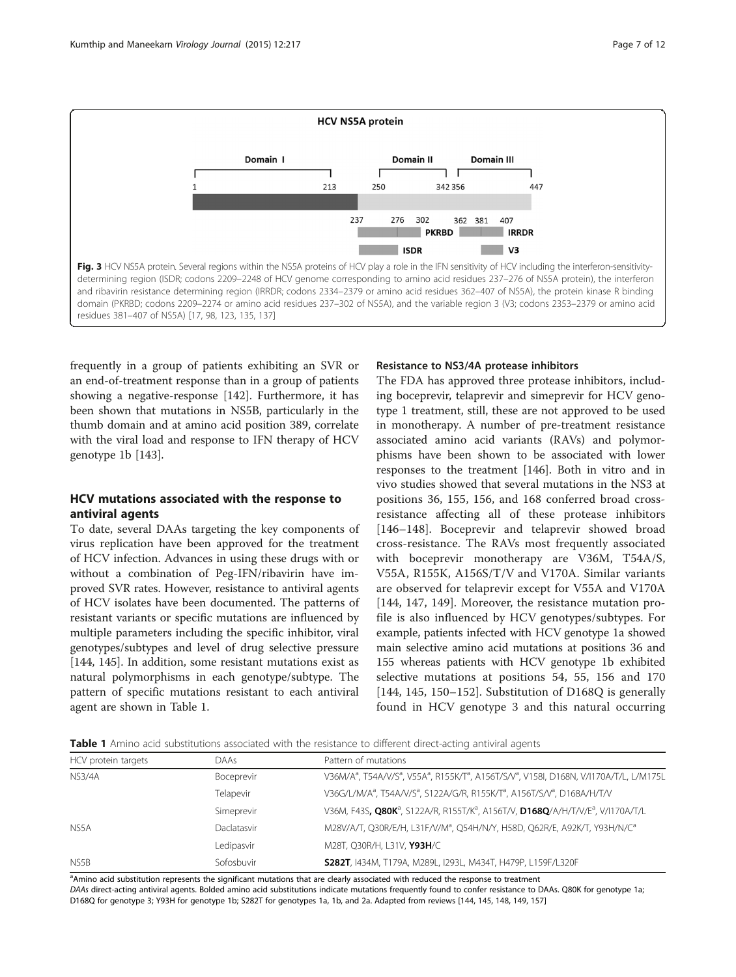<span id="page-6-0"></span>

frequently in a group of patients exhibiting an SVR or an end-of-treatment response than in a group of patients showing a negative-response [[142\]](#page-11-0). Furthermore, it has been shown that mutations in NS5B, particularly in the thumb domain and at amino acid position 389, correlate with the viral load and response to IFN therapy of HCV genotype 1b [[143](#page-11-0)].

# HCV mutations associated with the response to antiviral agents

To date, several DAAs targeting the key components of virus replication have been approved for the treatment of HCV infection. Advances in using these drugs with or without a combination of Peg-IFN/ribavirin have improved SVR rates. However, resistance to antiviral agents of HCV isolates have been documented. The patterns of resistant variants or specific mutations are influenced by multiple parameters including the specific inhibitor, viral genotypes/subtypes and level of drug selective pressure [[144, 145\]](#page-11-0). In addition, some resistant mutations exist as natural polymorphisms in each genotype/subtype. The pattern of specific mutations resistant to each antiviral agent are shown in Table 1.

# Resistance to NS3/4A protease inhibitors

The FDA has approved three protease inhibitors, including boceprevir, telaprevir and simeprevir for HCV genotype 1 treatment, still, these are not approved to be used in monotherapy. A number of pre-treatment resistance associated amino acid variants (RAVs) and polymorphisms have been shown to be associated with lower responses to the treatment [[146](#page-11-0)]. Both in vitro and in vivo studies showed that several mutations in the NS3 at positions 36, 155, 156, and 168 conferred broad crossresistance affecting all of these protease inhibitors [[146](#page-11-0)–[148](#page-11-0)]. Boceprevir and telaprevir showed broad cross-resistance. The RAVs most frequently associated with boceprevir monotherapy are V36M, T54A/S, V55A, R155K, A156S/T/V and V170A. Similar variants are observed for telaprevir except for V55A and V170A [[144, 147, 149](#page-11-0)]. Moreover, the resistance mutation profile is also influenced by HCV genotypes/subtypes. For example, patients infected with HCV genotype 1a showed main selective amino acid mutations at positions 36 and 155 whereas patients with HCV genotype 1b exhibited selective mutations at positions 54, 55, 156 and 170 [[144, 145](#page-11-0), [150](#page-11-0)–[152\]](#page-11-0). Substitution of D168Q is generally found in HCV genotype 3 and this natural occurring

Table 1 Amino acid substitutions associated with the resistance to different direct-acting antiviral agents

| HCV protein targets | DAAs        | Pattern of mutations                                                                                                                                 |
|---------------------|-------------|------------------------------------------------------------------------------------------------------------------------------------------------------|
| <b>NS3/4A</b>       | Boceprevir  | V36M/A <sup>a</sup> , T54A/V/S <sup>a</sup> , V55A <sup>a</sup> , R155K/T <sup>a</sup> , A156T/S/V <sup>a</sup> , V158I, D168N, V/I170A/T/L, L/M175L |
|                     | Telapevir   | V36G/L/M/A <sup>a</sup> , T54A/V/S <sup>a</sup> , S122A/G/R, R155K/T <sup>a</sup> , A156T/S/V <sup>a</sup> , D168A/H/T/V                             |
|                     | Simeprevir  | V36M, F43S, Q80K <sup>a</sup> , S122A/R, R155T/K <sup>a</sup> , A156T/V, D168Q/A/H/T/V/E <sup>a</sup> , V/I170A/T/L                                  |
| NS5A                | Daclatasvir | M28V/A/T, Q30R/E/H, L31F/V/M <sup>a</sup> , Q54H/N/Y, H58D, Q62R/E, A92K/T, Y93H/N/C <sup>a</sup>                                                    |
|                     | Ledipasvir  | M28T, Q30R/H, L31V, Y93H/C                                                                                                                           |
| NS5B                | Sofosbuvir  | S282T, I434M, T179A, M289L, I293L, M434T, H479P, L159F/L320F                                                                                         |

<sup>a</sup> Amino acid substitution represents the significant mutations that are clearly associated with reduced the response to treatment DAAs direct-acting antiviral agents. Bolded amino acid substitutions indicate mutations frequently found to confer resistance to DAAs. Q80K for genotype 1a; D168Q for genotype 3; Y93H for genotype 1b; S282T for genotypes 1a, 1b, and 2a. Adapted from reviews [[144,](#page-11-0) [145,](#page-11-0) [148,](#page-11-0) [149](#page-11-0), [157](#page-11-0)]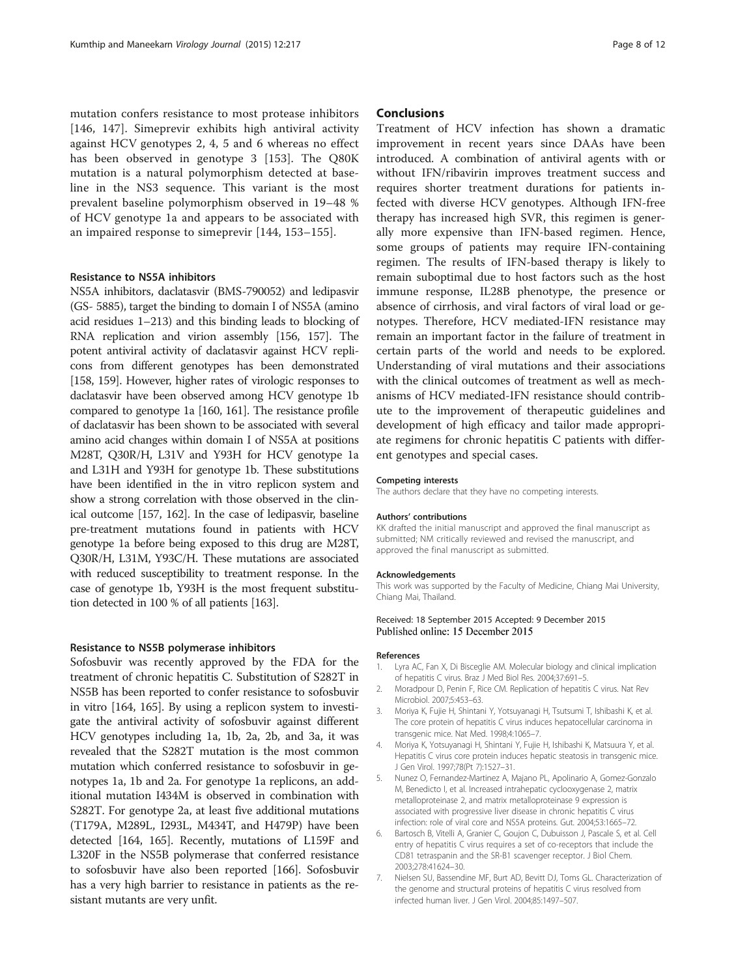<span id="page-7-0"></span>mutation confers resistance to most protease inhibitors [[146, 147\]](#page-11-0). Simeprevir exhibits high antiviral activity against HCV genotypes 2, 4, 5 and 6 whereas no effect has been observed in genotype 3 [\[153](#page-11-0)]. The Q80K mutation is a natural polymorphism detected at baseline in the NS3 sequence. This variant is the most prevalent baseline polymorphism observed in 19–48 % of HCV genotype 1a and appears to be associated with an impaired response to simeprevir [[144](#page-11-0), [153](#page-11-0)–[155\]](#page-11-0).

#### Resistance to NS5A inhibitors

NS5A inhibitors, daclatasvir (BMS-790052) and ledipasvir (GS- 5885), target the binding to domain I of NS5A (amino acid residues 1–213) and this binding leads to blocking of RNA replication and virion assembly [\[156, 157](#page-11-0)]. The potent antiviral activity of daclatasvir against HCV replicons from different genotypes has been demonstrated [[158, 159\]](#page-11-0). However, higher rates of virologic responses to daclatasvir have been observed among HCV genotype 1b compared to genotype 1a [[160, 161\]](#page-11-0). The resistance profile of daclatasvir has been shown to be associated with several amino acid changes within domain I of NS5A at positions M28T, Q30R/H, L31V and Y93H for HCV genotype 1a and L31H and Y93H for genotype 1b. These substitutions have been identified in the in vitro replicon system and show a strong correlation with those observed in the clinical outcome [[157, 162\]](#page-11-0). In the case of ledipasvir, baseline pre-treatment mutations found in patients with HCV genotype 1a before being exposed to this drug are M28T, Q30R/H, L31M, Y93C/H. These mutations are associated with reduced susceptibility to treatment response. In the case of genotype 1b, Y93H is the most frequent substitution detected in 100 % of all patients [\[163](#page-11-0)].

#### Resistance to NS5B polymerase inhibitors

Sofosbuvir was recently approved by the FDA for the treatment of chronic hepatitis C. Substitution of S282T in NS5B has been reported to confer resistance to sofosbuvir in vitro [\[164, 165\]](#page-11-0). By using a replicon system to investigate the antiviral activity of sofosbuvir against different HCV genotypes including 1a, 1b, 2a, 2b, and 3a, it was revealed that the S282T mutation is the most common mutation which conferred resistance to sofosbuvir in genotypes 1a, 1b and 2a. For genotype 1a replicons, an additional mutation I434M is observed in combination with S282T. For genotype 2a, at least five additional mutations (T179A, M289L, I293L, M434T, and H479P) have been detected [[164](#page-11-0), [165](#page-11-0)]. Recently, mutations of L159F and L320F in the NS5B polymerase that conferred resistance to sofosbuvir have also been reported [\[166](#page-11-0)]. Sofosbuvir has a very high barrier to resistance in patients as the resistant mutants are very unfit.

#### **Conclusions**

Treatment of HCV infection has shown a dramatic improvement in recent years since DAAs have been introduced. A combination of antiviral agents with or without IFN/ribavirin improves treatment success and requires shorter treatment durations for patients infected with diverse HCV genotypes. Although IFN-free therapy has increased high SVR, this regimen is generally more expensive than IFN-based regimen. Hence, some groups of patients may require IFN-containing regimen. The results of IFN-based therapy is likely to remain suboptimal due to host factors such as the host immune response, IL28B phenotype, the presence or absence of cirrhosis, and viral factors of viral load or genotypes. Therefore, HCV mediated-IFN resistance may remain an important factor in the failure of treatment in certain parts of the world and needs to be explored. Understanding of viral mutations and their associations with the clinical outcomes of treatment as well as mechanisms of HCV mediated-IFN resistance should contribute to the improvement of therapeutic guidelines and development of high efficacy and tailor made appropriate regimens for chronic hepatitis C patients with different genotypes and special cases.

#### Competing interests

The authors declare that they have no competing interests.

#### Authors' contributions

KK drafted the initial manuscript and approved the final manuscript as submitted; NM critically reviewed and revised the manuscript, and approved the final manuscript as submitted.

#### Acknowledgements

This work was supported by the Faculty of Medicine, Chiang Mai University, Chiang Mai, Thailand.

#### Received: 18 September 2015 Accepted: 9 December 2015 Published online: 15 December 2015

#### References

- 1. Lyra AC, Fan X, Di Bisceglie AM. Molecular biology and clinical implication of hepatitis C virus. Braz J Med Biol Res. 2004;37:691–5.
- 2. Moradpour D, Penin F, Rice CM. Replication of hepatitis C virus. Nat Rev Microbiol. 2007;5:453–63.
- 3. Moriya K, Fujie H, Shintani Y, Yotsuyanagi H, Tsutsumi T, Ishibashi K, et al. The core protein of hepatitis C virus induces hepatocellular carcinoma in transgenic mice. Nat Med. 1998;4:1065–7.
- 4. Moriya K, Yotsuyanagi H, Shintani Y, Fujie H, Ishibashi K, Matsuura Y, et al. Hepatitis C virus core protein induces hepatic steatosis in transgenic mice. J Gen Virol. 1997;78(Pt 7):1527–31.
- 5. Nunez O, Fernandez-Martinez A, Majano PL, Apolinario A, Gomez-Gonzalo M, Benedicto I, et al. Increased intrahepatic cyclooxygenase 2, matrix metalloproteinase 2, and matrix metalloproteinase 9 expression is associated with progressive liver disease in chronic hepatitis C virus infection: role of viral core and NS5A proteins. Gut. 2004;53:1665–72.
- 6. Bartosch B, Vitelli A, Granier C, Goujon C, Dubuisson J, Pascale S, et al. Cell entry of hepatitis C virus requires a set of co-receptors that include the CD81 tetraspanin and the SR-B1 scavenger receptor. J Biol Chem. 2003;278:41624–30.
- 7. Nielsen SU, Bassendine MF, Burt AD, Bevitt DJ, Toms GL. Characterization of the genome and structural proteins of hepatitis C virus resolved from infected human liver. J Gen Virol. 2004;85:1497–507.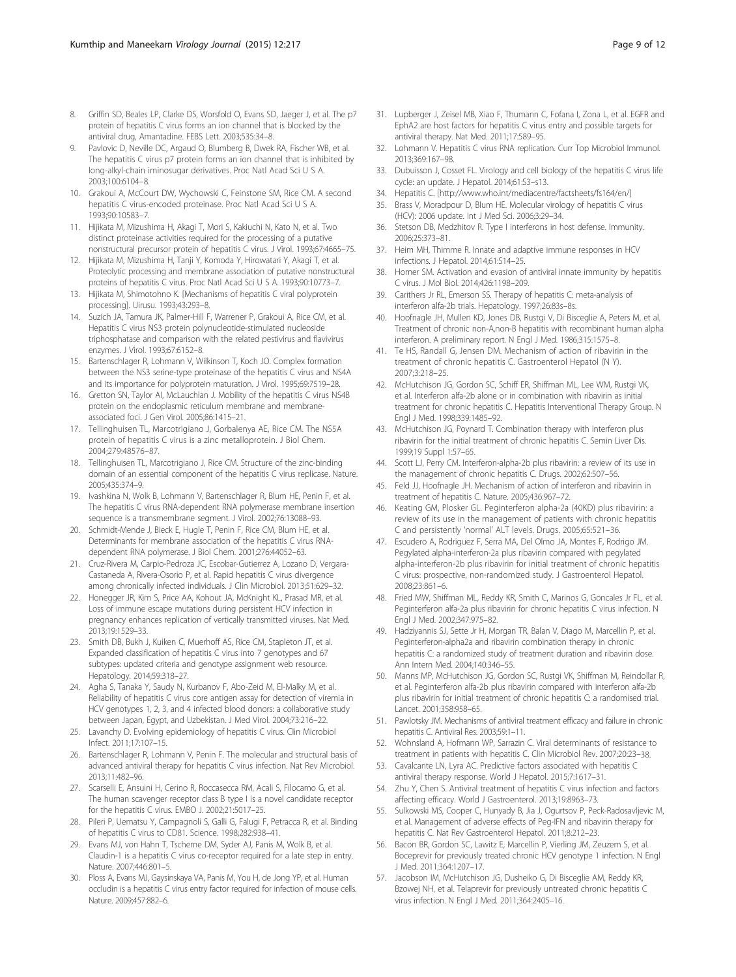- <span id="page-8-0"></span>8. Griffin SD, Beales LP, Clarke DS, Worsfold O, Evans SD, Jaeger J, et al. The p7 protein of hepatitis C virus forms an ion channel that is blocked by the antiviral drug, Amantadine. FEBS Lett. 2003;535:34–8.
- Pavlovic D, Neville DC, Argaud O, Blumberg B, Dwek RA, Fischer WB, et al. The hepatitis C virus p7 protein forms an ion channel that is inhibited by long-alkyl-chain iminosugar derivatives. Proc Natl Acad Sci U S A. 2003;100:6104–8.
- 10. Grakoui A, McCourt DW, Wychowski C, Feinstone SM, Rice CM. A second hepatitis C virus-encoded proteinase. Proc Natl Acad Sci U S A. 1993;90:10583–7.
- 11. Hijikata M, Mizushima H, Akagi T, Mori S, Kakiuchi N, Kato N, et al. Two distinct proteinase activities required for the processing of a putative nonstructural precursor protein of hepatitis C virus. J Virol. 1993;67:4665–75.
- 12. Hijikata M, Mizushima H, Tanji Y, Komoda Y, Hirowatari Y, Akagi T, et al. Proteolytic processing and membrane association of putative nonstructural proteins of hepatitis C virus. Proc Natl Acad Sci U S A. 1993;90:10773–7.
- 13. Hijikata M, Shimotohno K. [Mechanisms of hepatitis C viral polyprotein processing]. Uirusu. 1993;43:293–8.
- 14. Suzich JA, Tamura JK, Palmer-Hill F, Warrener P, Grakoui A, Rice CM, et al. Hepatitis C virus NS3 protein polynucleotide-stimulated nucleoside triphosphatase and comparison with the related pestivirus and flavivirus enzymes. J Virol. 1993;67:6152–8.
- 15. Bartenschlager R, Lohmann V, Wilkinson T, Koch JO. Complex formation between the NS3 serine-type proteinase of the hepatitis C virus and NS4A and its importance for polyprotein maturation. J Virol. 1995;69:7519–28.
- 16. Gretton SN, Taylor AI, McLauchlan J. Mobility of the hepatitis C virus NS4B protein on the endoplasmic reticulum membrane and membraneassociated foci. J Gen Virol. 2005;86:1415–21.
- 17. Tellinghuisen TL, Marcotrigiano J, Gorbalenya AE, Rice CM. The NS5A protein of hepatitis C virus is a zinc metalloprotein. J Biol Chem. 2004;279:48576–87.
- 18. Tellinghuisen TL, Marcotrigiano J, Rice CM. Structure of the zinc-binding domain of an essential component of the hepatitis C virus replicase. Nature. 2005;435:374–9.
- 19. Ivashkina N, Wolk B, Lohmann V, Bartenschlager R, Blum HE, Penin F, et al. The hepatitis C virus RNA-dependent RNA polymerase membrane insertion sequence is a transmembrane segment. J Virol. 2002;76:13088–93.
- 20. Schmidt-Mende J, Bieck E, Hugle T, Penin F, Rice CM, Blum HE, et al. Determinants for membrane association of the hepatitis C virus RNAdependent RNA polymerase. J Biol Chem. 2001;276:44052–63.
- 21. Cruz-Rivera M, Carpio-Pedroza JC, Escobar-Gutierrez A, Lozano D, Vergara-Castaneda A, Rivera-Osorio P, et al. Rapid hepatitis C virus divergence among chronically infected individuals. J Clin Microbiol. 2013;51:629–32.
- 22. Honegger JR, Kim S, Price AA, Kohout JA, McKnight KL, Prasad MR, et al. Loss of immune escape mutations during persistent HCV infection in pregnancy enhances replication of vertically transmitted viruses. Nat Med. 2013;19:1529–33.
- 23. Smith DB, Bukh J, Kuiken C, Muerhoff AS, Rice CM, Stapleton JT, et al. Expanded classification of hepatitis C virus into 7 genotypes and 67 subtypes: updated criteria and genotype assignment web resource. Hepatology. 2014;59:318–27.
- 24. Agha S, Tanaka Y, Saudy N, Kurbanov F, Abo-Zeid M, El-Malky M, et al. Reliability of hepatitis C virus core antigen assay for detection of viremia in HCV genotypes 1, 2, 3, and 4 infected blood donors: a collaborative study between Japan, Egypt, and Uzbekistan. J Med Virol. 2004;73:216–22.
- 25. Lavanchy D. Evolving epidemiology of hepatitis C virus. Clin Microbiol Infect. 2011;17:107–15.
- 26. Bartenschlager R, Lohmann V, Penin F. The molecular and structural basis of advanced antiviral therapy for hepatitis C virus infection. Nat Rev Microbiol. 2013;11:482–96.
- 27. Scarselli E, Ansuini H, Cerino R, Roccasecca RM, Acali S, Filocamo G, et al. The human scavenger receptor class B type I is a novel candidate receptor for the hepatitis C virus. EMBO J. 2002;21:5017–25.
- 28. Pileri P, Uematsu Y, Campagnoli S, Galli G, Falugi F, Petracca R, et al. Binding of hepatitis C virus to CD81. Science. 1998;282:938–41.
- 29. Evans MJ, von Hahn T, Tscherne DM, Syder AJ, Panis M, Wolk B, et al. Claudin-1 is a hepatitis C virus co-receptor required for a late step in entry. Nature. 2007;446:801–5.
- 30. Ploss A, Evans MJ, Gaysinskaya VA, Panis M, You H, de Jong YP, et al. Human occludin is a hepatitis C virus entry factor required for infection of mouse cells. Nature. 2009;457:882–6.
- 31. Lupberger J, Zeisel MB, Xiao F, Thumann C, Fofana I, Zona L, et al. EGFR and EphA2 are host factors for hepatitis C virus entry and possible targets for antiviral therapy. Nat Med. 2011;17:589–95.
- 32. Lohmann V. Hepatitis C virus RNA replication. Curr Top Microbiol Immunol. 2013;369:167–98.
- 33. Dubuisson J, Cosset FL. Virology and cell biology of the hepatitis C virus life cycle: an update. J Hepatol. 2014;61:S3–s13.
- 34. Hepatitis C. [[http://www.who.int/mediacentre/factsheets/fs164/en/\]](http://www.who.int/mediacentre/factsheets/fs164/en/)
- 35. Brass V, Moradpour D, Blum HE. Molecular virology of hepatitis C virus (HCV): 2006 update. Int J Med Sci. 2006;3:29–34.
- Stetson DB, Medzhitov R. Type I interferons in host defense. Immunity. 2006;25:373–81.
- 37. Heim MH, Thimme R. Innate and adaptive immune responses in HCV infections. J Hepatol. 2014;61:S14–25.
- 38. Horner SM. Activation and evasion of antiviral innate immunity by hepatitis C virus. J Mol Biol. 2014;426:1198–209.
- 39. Carithers Jr RL, Emerson SS. Therapy of hepatitis C: meta-analysis of interferon alfa-2b trials. Hepatology. 1997;26:83s–8s.
- 40. Hoofnagle JH, Mullen KD, Jones DB, Rustgi V, Di Bisceglie A, Peters M, et al. Treatment of chronic non-A,non-B hepatitis with recombinant human alpha interferon. A preliminary report. N Engl J Med. 1986;315:1575–8.
- 41. Te HS, Randall G, Jensen DM. Mechanism of action of ribavirin in the treatment of chronic hepatitis C. Gastroenterol Hepatol (N Y). 2007;3:218–25.
- 42. McHutchison JG, Gordon SC, Schiff ER, Shiffman ML, Lee WM, Rustgi VK, et al. Interferon alfa-2b alone or in combination with ribavirin as initial treatment for chronic hepatitis C. Hepatitis Interventional Therapy Group. N Engl J Med. 1998;339:1485–92.
- 43. McHutchison JG, Poynard T. Combination therapy with interferon plus ribavirin for the initial treatment of chronic hepatitis C. Semin Liver Dis. 1999;19 Suppl 1:57–65.
- Scott LJ, Perry CM. Interferon-alpha-2b plus ribavirin: a review of its use in the management of chronic hepatitis C. Drugs. 2002;62:507–56.
- 45. Feld JJ, Hoofnagle JH. Mechanism of action of interferon and ribavirin in treatment of hepatitis C. Nature. 2005;436:967–72.
- 46. Keating GM, Plosker GL. Peginterferon alpha-2a (40KD) plus ribavirin: a review of its use in the management of patients with chronic hepatitis C and persistently 'normal' ALT levels. Drugs. 2005;65:521–36.
- 47. Escudero A, Rodriguez F, Serra MA, Del Olmo JA, Montes F, Rodrigo JM. Pegylated alpha-interferon-2a plus ribavirin compared with pegylated alpha-interferon-2b plus ribavirin for initial treatment of chronic hepatitis C virus: prospective, non-randomized study. J Gastroenterol Hepatol. 2008;23:861–6.
- 48. Fried MW, Shiffman ML, Reddy KR, Smith C, Marinos G, Goncales Jr FL, et al. Peginterferon alfa-2a plus ribavirin for chronic hepatitis C virus infection. N Engl J Med. 2002;347:975–82.
- 49. Hadziyannis SJ, Sette Jr H, Morgan TR, Balan V, Diago M, Marcellin P, et al. Peginterferon-alpha2a and ribavirin combination therapy in chronic hepatitis C: a randomized study of treatment duration and ribavirin dose. Ann Intern Med. 2004;140:346–55.
- 50. Manns MP, McHutchison JG, Gordon SC, Rustgi VK, Shiffman M, Reindollar R, et al. Peginterferon alfa-2b plus ribavirin compared with interferon alfa-2b plus ribavirin for initial treatment of chronic hepatitis C: a randomised trial. Lancet. 2001;358:958–65.
- 51. Pawlotsky JM. Mechanisms of antiviral treatment efficacy and failure in chronic hepatitis C. Antiviral Res. 2003;59:1–11.
- 52. Wohnsland A, Hofmann WP, Sarrazin C. Viral determinants of resistance to treatment in patients with hepatitis C. Clin Microbiol Rev. 2007;20:23–38.
- 53. Cavalcante LN, Lyra AC. Predictive factors associated with hepatitis C antiviral therapy response. World J Hepatol. 2015;7:1617–31.
- 54. Zhu Y, Chen S. Antiviral treatment of hepatitis C virus infection and factors affecting efficacy. World J Gastroenterol. 2013;19:8963–73.
- 55. Sulkowski MS, Cooper C, Hunyady B, Jia J, Ogurtsov P, Peck-Radosavljevic M, et al. Management of adverse effects of Peg-IFN and ribavirin therapy for hepatitis C. Nat Rev Gastroenterol Hepatol. 2011;8:212–23.
- 56. Bacon BR, Gordon SC, Lawitz E, Marcellin P, Vierling JM, Zeuzem S, et al. Boceprevir for previously treated chronic HCV genotype 1 infection. N Engl J Med. 2011;364:1207–17.
- 57. Jacobson IM, McHutchison JG, Dusheiko G, Di Bisceglie AM, Reddy KR, Bzowej NH, et al. Telaprevir for previously untreated chronic hepatitis C virus infection. N Engl J Med. 2011;364:2405–16.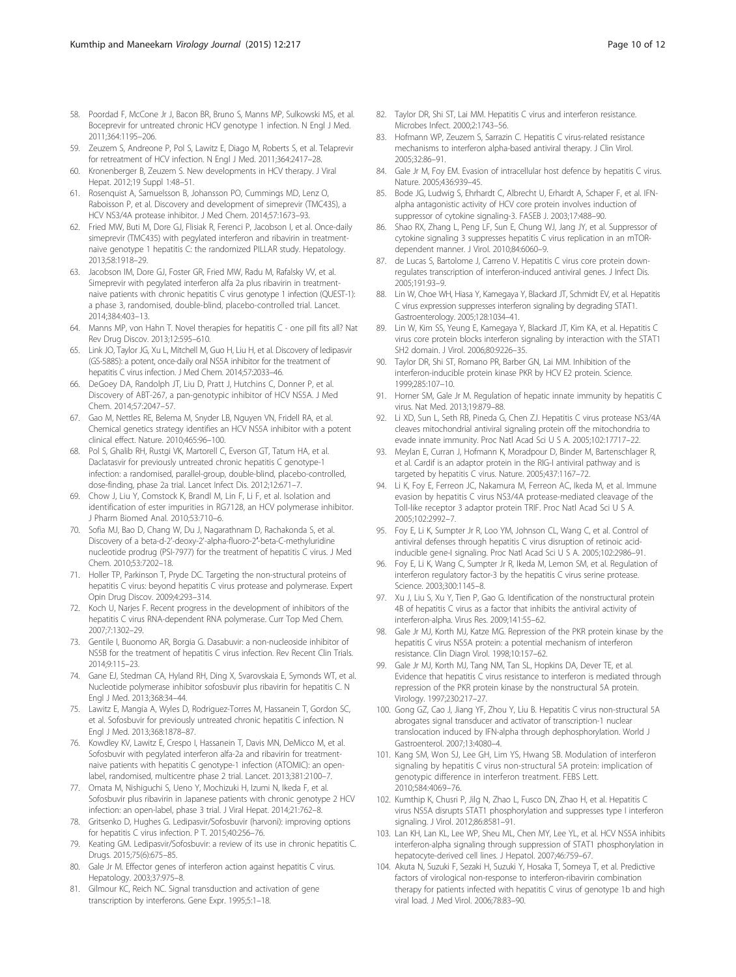- <span id="page-9-0"></span>58. Poordad F, McCone Jr J, Bacon BR, Bruno S, Manns MP, Sulkowski MS, et al. Boceprevir for untreated chronic HCV genotype 1 infection. N Engl J Med. 2011;364:1195–206.
- 59. Zeuzem S, Andreone P, Pol S, Lawitz E, Diago M, Roberts S, et al. Telaprevir for retreatment of HCV infection. N Engl J Med. 2011;364:2417–28.
- 60. Kronenberger B, Zeuzem S. New developments in HCV therapy. J Viral Hepat. 2012;19 Suppl 1:48–51.
- 61. Rosenquist A, Samuelsson B, Johansson PO, Cummings MD, Lenz O, Raboisson P, et al. Discovery and development of simeprevir (TMC435), a HCV NS3/4A protease inhibitor. J Med Chem. 2014;57:1673–93.
- 62. Fried MW, Buti M, Dore GJ, Flisiak R, Ferenci P, Jacobson I, et al. Once-daily simeprevir (TMC435) with pegylated interferon and ribavirin in treatmentnaive genotype 1 hepatitis C: the randomized PILLAR study. Hepatology. 2013;58:1918–29.
- 63. Jacobson IM, Dore GJ, Foster GR, Fried MW, Radu M, Rafalsky VV, et al. Simeprevir with pegylated interferon alfa 2a plus ribavirin in treatmentnaive patients with chronic hepatitis C virus genotype 1 infection (QUEST-1): a phase 3, randomised, double-blind, placebo-controlled trial. Lancet. 2014;384:403–13.
- 64. Manns MP, von Hahn T. Novel therapies for hepatitis C one pill fits all? Nat Rev Drug Discov. 2013;12:595–610.
- 65. Link JO, Taylor JG, Xu L, Mitchell M, Guo H, Liu H, et al. Discovery of ledipasvir (GS-5885): a potent, once-daily oral NS5A inhibitor for the treatment of hepatitis C virus infection. J Med Chem. 2014;57:2033–46.
- 66. DeGoey DA, Randolph JT, Liu D, Pratt J, Hutchins C, Donner P, et al. Discovery of ABT-267, a pan-genotypic inhibitor of HCV NS5A. J Med Chem. 2014;57:2047–57.
- 67. Gao M, Nettles RE, Belema M, Snyder LB, Nguyen VN, Fridell RA, et al. Chemical genetics strategy identifies an HCV NS5A inhibitor with a potent clinical effect. Nature. 2010;465:96–100.
- 68. Pol S, Ghalib RH, Rustgi VK, Martorell C, Everson GT, Tatum HA, et al. Daclatasvir for previously untreated chronic hepatitis C genotype-1 infection: a randomised, parallel-group, double-blind, placebo-controlled, dose-finding, phase 2a trial. Lancet Infect Dis. 2012;12:671–7.
- 69. Chow J, Liu Y, Comstock K, Brandl M, Lin F, Li F, et al. Isolation and identification of ester impurities in RG7128, an HCV polymerase inhibitor. J Pharm Biomed Anal. 2010;53:710–6.
- 70. Sofia MJ, Bao D, Chang W, Du J, Nagarathnam D, Rachakonda S, et al. Discovery of a beta-d-2'-deoxy-2'-alpha-fluoro-2′-beta-C-methyluridine nucleotide prodrug (PSI-7977) for the treatment of hepatitis C virus. J Med Chem. 2010;53:7202–18.
- 71. Holler TP, Parkinson T, Pryde DC. Targeting the non-structural proteins of hepatitis C virus: beyond hepatitis C virus protease and polymerase. Expert Opin Drug Discov. 2009;4:293–314.
- 72. Koch U, Narjes F. Recent progress in the development of inhibitors of the hepatitis C virus RNA-dependent RNA polymerase. Curr Top Med Chem. 2007;7:1302–29.
- 73. Gentile I, Buonomo AR, Borgia G. Dasabuvir: a non-nucleoside inhibitor of NS5B for the treatment of hepatitis C virus infection. Rev Recent Clin Trials. 2014;9:115–23.
- 74. Gane EJ, Stedman CA, Hyland RH, Ding X, Svarovskaia E, Symonds WT, et al. Nucleotide polymerase inhibitor sofosbuvir plus ribavirin for hepatitis C. N Engl J Med. 2013;368:34–44.
- 75. Lawitz E, Mangia A, Wyles D, Rodriguez-Torres M, Hassanein T, Gordon SC, et al. Sofosbuvir for previously untreated chronic hepatitis C infection. N Engl J Med. 2013;368:1878–87.
- 76. Kowdley KV, Lawitz E, Crespo I, Hassanein T, Davis MN, DeMicco M, et al. Sofosbuvir with pegylated interferon alfa-2a and ribavirin for treatmentnaive patients with hepatitis C genotype-1 infection (ATOMIC): an openlabel, randomised, multicentre phase 2 trial. Lancet. 2013;381:2100–7.
- 77. Omata M, Nishiguchi S, Ueno Y, Mochizuki H, Izumi N, Ikeda F, et al. Sofosbuvir plus ribavirin in Japanese patients with chronic genotype 2 HCV infection: an open-label, phase 3 trial. J Viral Hepat. 2014;21:762–8.
- 78. Gritsenko D, Hughes G. Ledipasvir/Sofosbuvir (harvoni): improving options for hepatitis C virus infection. P T. 2015;40:256–76.
- 79. Keating GM. Ledipasvir/Sofosbuvir: a review of its use in chronic hepatitis C. Drugs. 2015;75(6):675–85.
- 80. Gale Jr M. Effector genes of interferon action against hepatitis C virus. Hepatology. 2003;37:975–8.
- 81. Gilmour KC, Reich NC. Signal transduction and activation of gene transcription by interferons. Gene Expr. 1995;5:1–18.
- 82. Taylor DR, Shi ST, Lai MM. Hepatitis C virus and interferon resistance. Microbes Infect. 2000;2:1743–56.
- 83. Hofmann WP, Zeuzem S, Sarrazin C. Hepatitis C virus-related resistance mechanisms to interferon alpha-based antiviral therapy. J Clin Virol. 2005;32:86–91.
- 84. Gale Jr M, Foy EM. Evasion of intracellular host defence by hepatitis C virus. Nature. 2005;436:939–45.
- 85. Bode JG, Ludwig S, Ehrhardt C, Albrecht U, Erhardt A, Schaper F, et al. IFNalpha antagonistic activity of HCV core protein involves induction of suppressor of cytokine signaling-3. FASEB J. 2003;17:488–90.
- 86. Shao RX, Zhang L, Peng LF, Sun E, Chung WJ, Jang JY, et al. Suppressor of cytokine signaling 3 suppresses hepatitis C virus replication in an mTORdependent manner. J Virol. 2010;84:6060–9.
- 87. de Lucas S, Bartolome J, Carreno V. Hepatitis C virus core protein downregulates transcription of interferon-induced antiviral genes. J Infect Dis. 2005;191:93–9.
- 88. Lin W, Choe WH, Hiasa Y, Kamegaya Y, Blackard JT, Schmidt EV, et al. Hepatitis C virus expression suppresses interferon signaling by degrading STAT1. Gastroenterology. 2005;128:1034–41.
- 89. Lin W, Kim SS, Yeung E, Kamegaya Y, Blackard JT, Kim KA, et al. Hepatitis C virus core protein blocks interferon signaling by interaction with the STAT1 SH2 domain. J Virol. 2006;80:9226–35.
- 90. Taylor DR, Shi ST, Romano PR, Barber GN, Lai MM. Inhibition of the interferon-inducible protein kinase PKR by HCV E2 protein. Science. 1999;285:107–10.
- 91. Horner SM, Gale Jr M. Regulation of hepatic innate immunity by hepatitis C virus. Nat Med. 2013;19:879–88.
- 92. Li XD, Sun L, Seth RB, Pineda G, Chen ZJ. Hepatitis C virus protease NS3/4A cleaves mitochondrial antiviral signaling protein off the mitochondria to evade innate immunity. Proc Natl Acad Sci U S A. 2005;102:17717–22.
- 93. Meylan E, Curran J, Hofmann K, Moradpour D, Binder M, Bartenschlager R, et al. Cardif is an adaptor protein in the RIG-I antiviral pathway and is targeted by hepatitis C virus. Nature. 2005;437:1167–72.
- 94. Li K, Foy E, Ferreon JC, Nakamura M, Ferreon AC, Ikeda M, et al. Immune evasion by hepatitis C virus NS3/4A protease-mediated cleavage of the Toll-like receptor 3 adaptor protein TRIF. Proc Natl Acad Sci U S A. 2005;102:2992–7.
- 95. Foy E, Li K, Sumpter Jr R, Loo YM, Johnson CL, Wang C, et al. Control of antiviral defenses through hepatitis C virus disruption of retinoic acidinducible gene-I signaling. Proc Natl Acad Sci U S A. 2005;102:2986–91.
- 96. Foy E, Li K, Wang C, Sumpter Jr R, Ikeda M, Lemon SM, et al. Regulation of interferon regulatory factor-3 by the hepatitis C virus serine protease. Science. 2003;300:1145–8.
- 97. Xu J, Liu S, Xu Y, Tien P, Gao G. Identification of the nonstructural protein 4B of hepatitis C virus as a factor that inhibits the antiviral activity of interferon-alpha. Virus Res. 2009;141:55–62.
- 98. Gale Jr MJ, Korth MJ, Katze MG. Repression of the PKR protein kinase by the hepatitis C virus NS5A protein: a potential mechanism of interferon resistance. Clin Diagn Virol. 1998;10:157–62.
- 99. Gale Jr MJ, Korth MJ, Tang NM, Tan SL, Hopkins DA, Dever TE, et al. Evidence that hepatitis C virus resistance to interferon is mediated through repression of the PKR protein kinase by the nonstructural 5A protein. Virology. 1997;230:217–27.
- 100. Gong GZ, Cao J, Jiang YF, Zhou Y, Liu B. Hepatitis C virus non-structural 5A abrogates signal transducer and activator of transcription-1 nuclear translocation induced by IFN-alpha through dephosphorylation. World J Gastroenterol. 2007;13:4080–4.
- 101. Kang SM, Won SJ, Lee GH, Lim YS, Hwang SB. Modulation of interferon signaling by hepatitis C virus non-structural 5A protein: implication of genotypic difference in interferon treatment. FEBS Lett. 2010;584:4069–76.
- 102. Kumthip K, Chusri P, Jilg N, Zhao L, Fusco DN, Zhao H, et al. Hepatitis C virus NS5A disrupts STAT1 phosphorylation and suppresses type I interferon signaling. J Virol. 2012;86:8581–91.
- 103. Lan KH, Lan KL, Lee WP, Sheu ML, Chen MY, Lee YL, et al. HCV NS5A inhibits interferon-alpha signaling through suppression of STAT1 phosphorylation in hepatocyte-derived cell lines. J Hepatol. 2007;46:759–67.
- 104. Akuta N, Suzuki F, Sezaki H, Suzuki Y, Hosaka T, Someya T, et al. Predictive factors of virological non-response to interferon-ribavirin combination therapy for patients infected with hepatitis C virus of genotype 1b and high viral load. J Med Virol. 2006;78:83–90.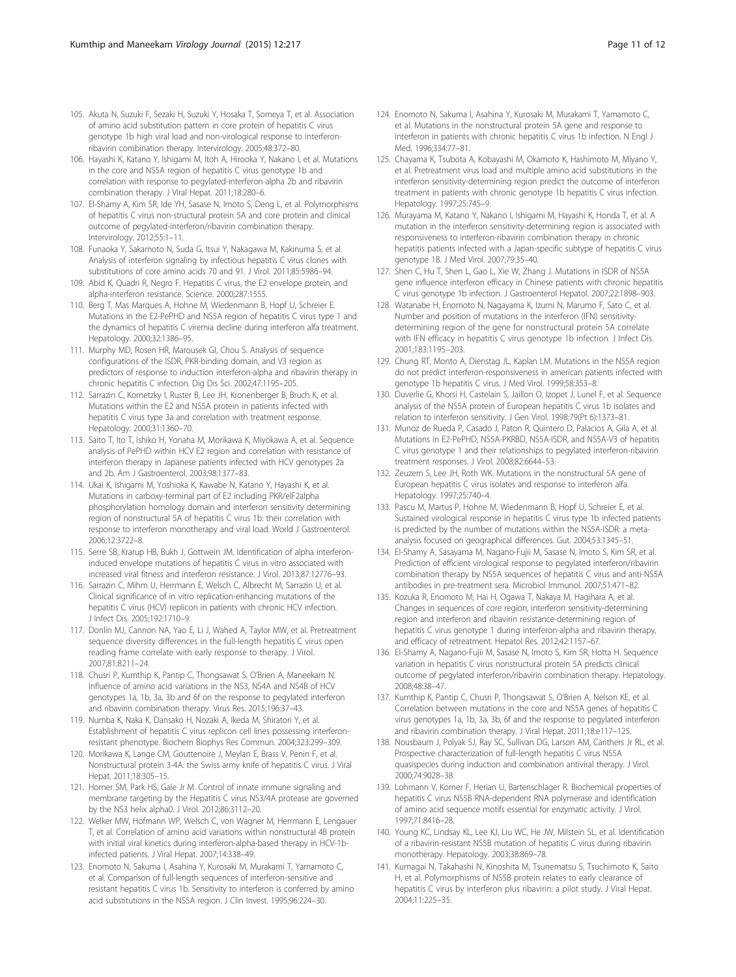- <span id="page-10-0"></span>105. Akuta N, Suzuki F, Sezaki H, Suzuki Y, Hosaka T, Someya T, et al. Association of amino acid substitution pattern in core protein of hepatitis C virus genotype 1b high viral load and non-virological response to interferonribavirin combination therapy. Intervirology. 2005;48:372–80.
- 106. Hayashi K, Katano Y, Ishigami M, Itoh A, Hirooka Y, Nakano I, et al. Mutations in the core and NS5A region of hepatitis C virus genotype 1b and correlation with response to pegylated-interferon-alpha 2b and ribavirin combination therapy. J Viral Hepat. 2011;18:280–6.
- 107. El-Shamy A, Kim SR, Ide YH, Sasase N, Imoto S, Deng L, et al. Polymorphisms of hepatitis C virus non-structural protein 5A and core protein and clinical outcome of pegylated-interferon/ribavirin combination therapy. Intervirology. 2012;55:1–11.
- 108. Funaoka Y, Sakamoto N, Suda G, Itsui Y, Nakagawa M, Kakinuma S, et al. Analysis of interferon signaling by infectious hepatitis C virus clones with substitutions of core amino acids 70 and 91. J Virol. 2011;85:5986–94.
- 109. Abid K, Quadri R, Negro F. Hepatitis C virus, the E2 envelope protein, and alpha-interferon resistance. Science. 2000;287:1555.
- 110. Berg T, Mas Marques A, Hohne M, Wiedenmann B, Hopf U, Schreier E. Mutations in the E2-PePHD and NS5A region of hepatitis C virus type 1 and the dynamics of hepatitis C viremia decline during interferon alfa treatment. Hepatology. 2000;32:1386–95.
- 111. Murphy MD, Rosen HR, Marousek GI, Chou S. Analysis of sequence configurations of the ISDR, PKR-binding domain, and V3 region as predictors of response to induction interferon-alpha and ribavirin therapy in chronic hepatitis C infection. Dig Dis Sci. 2002;47:1195–205.
- 112. Sarrazin C, Kornetzky I, Ruster B, Lee JH, Kronenberger B, Bruch K, et al. Mutations within the E2 and NS5A protein in patients infected with hepatitis C virus type 3a and correlation with treatment response. Hepatology. 2000;31:1360–70.
- 113. Saito T, Ito T, Ishiko H, Yonaha M, Morikawa K, Miyokawa A, et al. Sequence analysis of PePHD within HCV E2 region and correlation with resistance of interferon therapy in Japanese patients infected with HCV genotypes 2a and 2b. Am J Gastroenterol. 2003;98:1377–83.
- 114. Ukai K, Ishigami M, Yoshioka K, Kawabe N, Katano Y, Hayashi K, et al. Mutations in carboxy-terminal part of E2 including PKR/eIF2alpha phosphorylation homology domain and interferon sensitivity determining region of nonstructural 5A of hepatitis C virus 1b: their correlation with response to interferon monotherapy and viral load. World J Gastroenterol. 2006;12:3722–8.
- 115. Serre SB, Krarup HB, Bukh J, Gottwein JM. Identification of alpha interferoninduced envelope mutations of hepatitis C virus in vitro associated with increased viral fitness and interferon resistance. J Virol. 2013;87:12776–93.
- 116. Sarrazin C, Mihm U, Herrmann E, Welsch C, Albrecht M, Sarrazin U, et al. Clinical significance of in vitro replication-enhancing mutations of the hepatitis C virus (HCV) replicon in patients with chronic HCV infection. J Infect Dis. 2005;192:1710–9.
- 117. Donlin MJ, Cannon NA, Yao E, Li J, Wahed A, Taylor MW, et al. Pretreatment sequence diversity differences in the full-length hepatitis C virus open reading frame correlate with early response to therapy. J Virol. 2007;81:8211–24.
- 118. Chusri P, Kumthip K, Pantip C, Thongsawat S, O'Brien A, Maneekarn N. Influence of amino acid variations in the NS3, NS4A and NS4B of HCV genotypes 1a, 1b, 3a, 3b and 6f on the response to pegylated interferon and ribavirin combination therapy. Virus Res. 2015;196:37–43.
- 119. Numba K, Naka K, Dansako H, Nozaki A, Ikeda M, Shiratori Y, et al. Establishment of hepatitis C virus replicon cell lines possessing interferonresistant phenotype. Biochem Biophys Res Commun. 2004;323:299–309.
- 120. Morikawa K, Lange CM, Gouttenoire J, Meylan E, Brass V, Penin F, et al. Nonstructural protein 3-4A: the Swiss army knife of hepatitis C virus. J Viral Hepat. 2011;18:305–15.
- 121. Horner SM, Park HS, Gale Jr M. Control of innate immune signaling and membrane targeting by the Hepatitis C virus NS3/4A protease are governed by the NS3 helix alpha0. J Virol. 2012;86:3112–20.
- 122. Welker MW, Hofmann WP, Welsch C, von Wagner M, Herrmann E, Lengauer T, et al. Correlation of amino acid variations within nonstructural 4B protein with initial viral kinetics during interferon-alpha-based therapy in HCV-1binfected patients. J Viral Hepat. 2007;14:338–49.
- 123. Enomoto N, Sakuma I, Asahina Y, Kurosaki M, Murakami T, Yamamoto C, et al. Comparison of full-length sequences of interferon-sensitive and resistant hepatitis C virus 1b. Sensitivity to interferon is conferred by amino acid substitutions in the NS5A region. J Clin Invest. 1995;96:224–30.
- 124. Enomoto N, Sakuma I, Asahina Y, Kurosaki M, Murakami T, Yamamoto C, et al. Mutations in the nonstructural protein 5A gene and response to interferon in patients with chronic hepatitis C virus 1b infection. N Engl J Med. 1996;334:77–81.
- 125. Chayama K, Tsubota A, Kobayashi M, Okamoto K, Hashimoto M, Miyano Y, et al. Pretreatment virus load and multiple amino acid substitutions in the interferon sensitivity-determining region predict the outcome of interferon treatment in patients with chronic genotype 1b hepatitis C virus infection. Hepatology. 1997;25:745–9.
- 126. Murayama M, Katano Y, Nakano I, Ishigami M, Hayashi K, Honda T, et al. A mutation in the interferon sensitivity-determining region is associated with responsiveness to interferon-ribavirin combination therapy in chronic hepatitis patients infected with a Japan-specific subtype of hepatitis C virus genotype 1B. J Med Virol. 2007;79:35–40.
- 127. Shen C, Hu T, Shen L, Gao L, Xie W, Zhang J. Mutations in ISDR of NS5A gene influence interferon efficacy in Chinese patients with chronic hepatitis C virus genotype 1b infection. J Gastroenterol Hepatol. 2007;22:1898–903.
- 128. Watanabe H, Enomoto N, Nagayama K, Izumi N, Marumo F, Sato C, et al. Number and position of mutations in the interferon (IFN) sensitivitydetermining region of the gene for nonstructural protein 5A correlate with IFN efficacy in hepatitis C virus genotype 1b infection. J Infect Dis. 2001;183:1195–203.
- 129. Chung RT, Monto A, Dienstag JL, Kaplan LM. Mutations in the NS5A region do not predict interferon-responsiveness in american patients infected with genotype 1b hepatitis C virus. J Med Virol. 1999;58:353–8.
- 130. Duverlie G, Khorsi H, Castelain S, Jaillon O, Izopet J, Lunel F, et al. Sequence analysis of the NS5A protein of European hepatitis C virus 1b isolates and relation to interferon sensitivity. J Gen Virol. 1998;79(Pt 6):1373–81.
- 131. Munoz de Rueda P, Casado J, Paton R, Quintero D, Palacios A, Gila A, et al. Mutations in E2-PePHD, NS5A-PKRBD, NS5A-ISDR, and NS5A-V3 of hepatitis C virus genotype 1 and their relationships to pegylated interferon-ribavirin treatment responses. J Virol. 2008;82:6644–53.
- 132. Zeuzem S, Lee JH, Roth WK. Mutations in the nonstructural 5A gene of European hepatitis C virus isolates and response to interferon alfa. Hepatology. 1997;25:740–4.
- 133. Pascu M, Martus P, Hohne M, Wiedenmann B, Hopf U, Schreier E, et al. Sustained virological response in hepatitis C virus type 1b infected patients is predicted by the number of mutations within the NS5A-ISDR: a metaanalysis focused on geographical differences. Gut. 2004;53:1345–51.
- 134. El-Shamy A, Sasayama M, Nagano-Fujii M, Sasase N, Imoto S, Kim SR, et al. Prediction of efficient virological response to pegylated interferon/ribavirin combination therapy by NS5A sequences of hepatitis C virus and anti-NS5A antibodies in pre-treatment sera. Microbiol Immunol. 2007;51:471–82.
- 135. Kozuka R, Enomoto M, Hai H, Ogawa T, Nakaya M, Hagihara A, et al. Changes in sequences of core region, interferon sensitivity-determining region and interferon and ribavirin resistance-determining region of hepatitis C virus genotype 1 during interferon-alpha and ribavirin therapy, and efficacy of retreatment. Hepatol Res. 2012;42:1157–67.
- 136. El-Shamy A, Nagano-Fujii M, Sasase N, Imoto S, Kim SR, Hotta H. Sequence variation in hepatitis C virus nonstructural protein 5A predicts clinical outcome of pegylated interferon/ribavirin combination therapy. Hepatology. 2008;48:38–47.
- 137. Kumthip K, Pantip C, Chusri P, Thongsawat S, O'Brien A, Nelson KE, et al. Correlation between mutations in the core and NS5A genes of hepatitis C virus genotypes 1a, 1b, 3a, 3b, 6f and the response to pegylated interferon and ribavirin combination therapy. J Viral Hepat. 2011;18:e117–125.
- 138. Nousbaum J, Polyak SJ, Ray SC, Sullivan DG, Larson AM, Carithers Jr RL, et al. Prospective characterization of full-length hepatitis C virus NS5A quasispecies during induction and combination antiviral therapy. J Virol. 2000;74:9028–38.
- 139. Lohmann V, Korner F, Herian U, Bartenschlager R. Biochemical properties of hepatitis C virus NS5B RNA-dependent RNA polymerase and identification of amino acid sequence motifs essential for enzymatic activity. J Virol. 1997;71:8416–28.
- 140. Young KC, Lindsay KL, Lee KJ, Liu WC, He JW, Milstein SL, et al. Identification of a ribavirin-resistant NS5B mutation of hepatitis C virus during ribavirin monotherapy. Hepatology. 2003;38:869–78.
- 141. Kumagai N, Takahashi N, Kinoshita M, Tsunematsu S, Tsuchimoto K, Saito H, et al. Polymorphisms of NS5B protein relates to early clearance of hepatitis C virus by interferon plus ribavirin: a pilot study. J Viral Hepat. 2004;11:225–35.